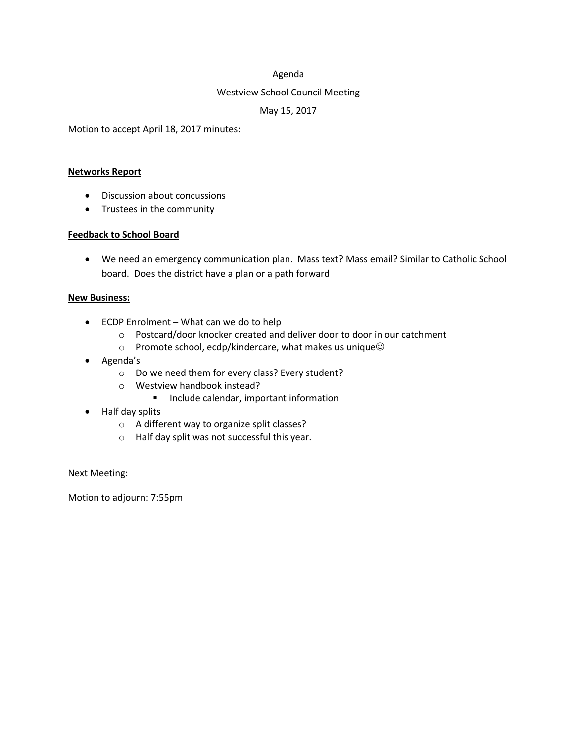## Agenda

## Westview School Council Meeting

## May 15, 2017

Motion to accept April 18, 2017 minutes:

#### **Networks Report**

- Discussion about concussions
- Trustees in the community

### **Feedback to School Board**

 We need an emergency communication plan. Mass text? Mass email? Similar to Catholic School board. Does the district have a plan or a path forward

#### **New Business:**

- ECDP Enrolment What can we do to help
	- o Postcard/door knocker created and deliver door to door in our catchment
	- $\circ$  Promote school, ecdp/kindercare, what makes us unique $\odot$
- Agenda's
	- o Do we need them for every class? Every student?
	- o Westview handbook instead?
		- **Include calendar, important information**
- Half day splits
	- o A different way to organize split classes?
	- o Half day split was not successful this year.

Next Meeting:

Motion to adjourn: 7:55pm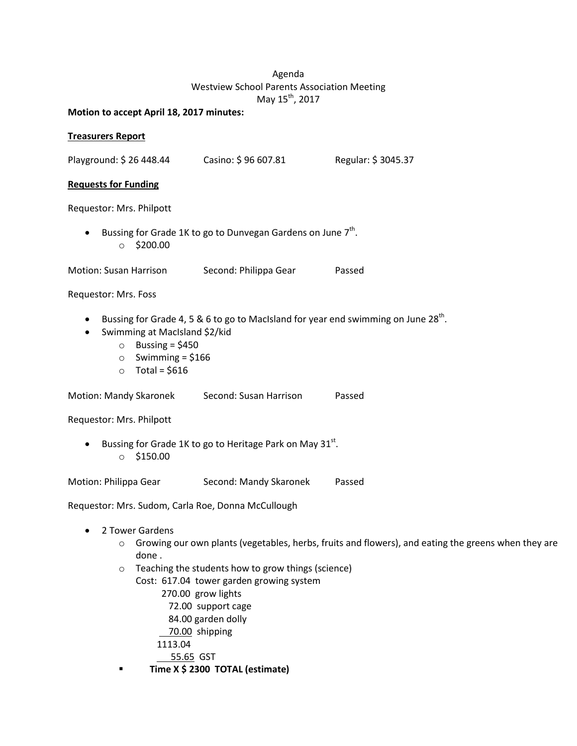# Agenda Westview School Parents Association Meeting May 15<sup>th</sup>, 2017

**Motion to accept April 18, 2017 minutes:**

## **Treasurers Report**

Playground: \$ 26 448.44 Casino: \$ 96 607.81 Regular: \$ 3045.37

## **Requests for Funding**

Requestor: Mrs. Philpott

• Bussing for Grade 1K to go to Dunvegan Gardens on June  $7<sup>th</sup>$ .  $\circ$  \$200.00

Motion: Susan Harrison Second: Philippa Gear Passed

## Requestor: Mrs. Foss

- Bussing for Grade 4, 5 & 6 to go to MacIsland for year end swimming on June 28<sup>th</sup>.
- Swimming at MacIsland \$2/kid
	- $\circ$  Bussing = \$450
	- $\circ$  Swimming = \$166
	- $\circ$  Total = \$616

Motion: Mandy Skaronek Second: Susan Harrison Passed

Requestor: Mrs. Philpott

**•** Bussing for Grade 1K to go to Heritage Park on May 31st. o \$150.00

Motion: Philippa Gear Second: Mandy Skaronek Passed

Requestor: Mrs. Sudom, Carla Roe, Donna McCullough

- 2 Tower Gardens
	- $\circ$  Growing our own plants (vegetables, herbs, fruits and flowers), and eating the greens when they are done .
	- o Teaching the students how to grow things (science)

Cost: 617.04 tower garden growing system

- 270.00 grow lights
- 72.00 support cage

84.00 garden dolly

70.00 shipping

1113.04

55.65 GST

**Time X \$ 2300 TOTAL (estimate)**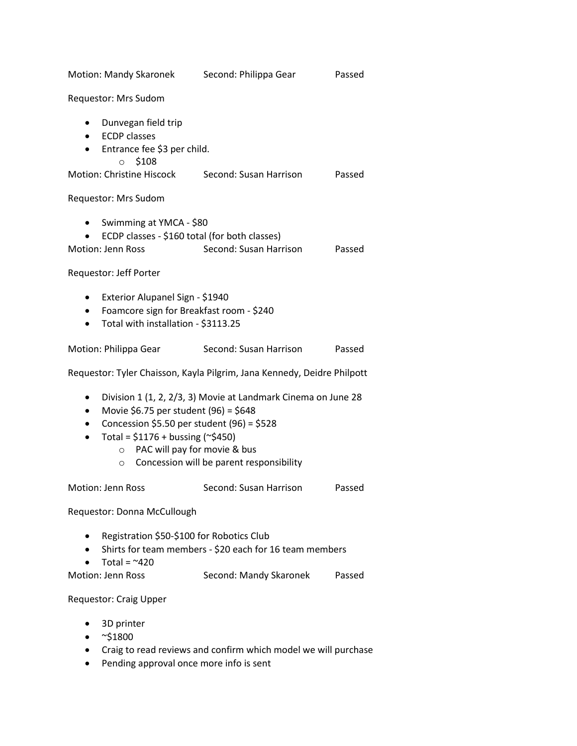| Motion: Mandy Skaronek                                                                                                                                                                                                                                                                                                                      | Second: Philippa Gear  | Passed |
|---------------------------------------------------------------------------------------------------------------------------------------------------------------------------------------------------------------------------------------------------------------------------------------------------------------------------------------------|------------------------|--------|
| Requestor: Mrs Sudom                                                                                                                                                                                                                                                                                                                        |                        |        |
| Dunvegan field trip<br>$\bullet$<br><b>ECDP</b> classes<br>$\bullet$<br>Entrance fee \$3 per child.<br>$\bullet$<br>\$108<br>$\circ$                                                                                                                                                                                                        |                        |        |
| Motion: Christine Hiscock                                                                                                                                                                                                                                                                                                                   | Second: Susan Harrison | Passed |
| Requestor: Mrs Sudom                                                                                                                                                                                                                                                                                                                        |                        |        |
| Swimming at YMCA - \$80<br>ECDP classes - \$160 total (for both classes)<br><b>Motion: Jenn Ross</b>                                                                                                                                                                                                                                        | Second: Susan Harrison | Passed |
| Requestor: Jeff Porter                                                                                                                                                                                                                                                                                                                      |                        |        |
| Exterior Alupanel Sign - \$1940<br>$\bullet$<br>Foamcore sign for Breakfast room - \$240<br>$\bullet$<br>Total with installation - \$3113.25<br>٠                                                                                                                                                                                           |                        |        |
| Motion: Philippa Gear                                                                                                                                                                                                                                                                                                                       | Second: Susan Harrison | Passed |
| Requestor: Tyler Chaisson, Kayla Pilgrim, Jana Kennedy, Deidre Philpott                                                                                                                                                                                                                                                                     |                        |        |
| Division 1 (1, 2, 2/3, 3) Movie at Landmark Cinema on June 28<br>٠<br>Movie \$6.75 per student (96) = \$648<br>$\bullet$<br>Concession \$5.50 per student (96) = \$528<br>$\bullet$<br>Total = $$1176 + businessing (~$450)$<br>$\bullet$<br>PAC will pay for movie & bus<br>$\circ$<br>Concession will be parent responsibility<br>$\circ$ |                        |        |
| Motion: Jenn Ross                                                                                                                                                                                                                                                                                                                           | Second: Susan Harrison | Passed |
| Requestor: Donna McCullough                                                                                                                                                                                                                                                                                                                 |                        |        |
| Registration \$50-\$100 for Robotics Club<br>٠<br>Shirts for team members - \$20 each for 16 team members<br>Total = $~420$                                                                                                                                                                                                                 |                        |        |
| <b>Motion: Jenn Ross</b>                                                                                                                                                                                                                                                                                                                    | Second: Mandy Skaronek | Passed |
| Requestor: Craig Upper                                                                                                                                                                                                                                                                                                                      |                        |        |

- 3D printer
- $\bullet \quad$  ~\$1800
- Craig to read reviews and confirm which model we will purchase
- Pending approval once more info is sent